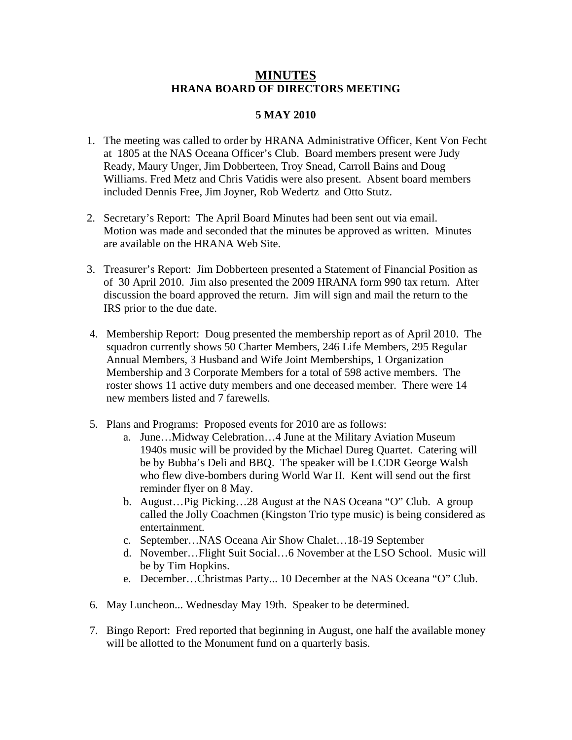## **MINUTES HRANA BOARD OF DIRECTORS MEETING**

## **5 MAY 2010**

- 1. The meeting was called to order by HRANA Administrative Officer, Kent Von Fecht at 1805 at the NAS Oceana Officer's Club. Board members present were Judy Ready, Maury Unger, Jim Dobberteen, Troy Snead, Carroll Bains and Doug Williams. Fred Metz and Chris Vatidis were also present. Absent board members included Dennis Free, Jim Joyner, Rob Wedertz and Otto Stutz.
- 2. Secretary's Report: The April Board Minutes had been sent out via email. Motion was made and seconded that the minutes be approved as written. Minutes are available on the HRANA Web Site.
- 3. Treasurer's Report: Jim Dobberteen presented a Statement of Financial Position as of 30 April 2010. Jim also presented the 2009 HRANA form 990 tax return. After discussion the board approved the return. Jim will sign and mail the return to the IRS prior to the due date.
- 4. Membership Report: Doug presented the membership report as of April 2010. The squadron currently shows 50 Charter Members, 246 Life Members, 295 Regular Annual Members, 3 Husband and Wife Joint Memberships, 1 Organization Membership and 3 Corporate Members for a total of 598 active members. The roster shows 11 active duty members and one deceased member. There were 14 new members listed and 7 farewells.
- 5. Plans and Programs: Proposed events for 2010 are as follows:
	- a. June…Midway Celebration…4 June at the Military Aviation Museum 1940s music will be provided by the Michael Dureg Quartet. Catering will be by Bubba's Deli and BBQ. The speaker will be LCDR George Walsh who flew dive-bombers during World War II. Kent will send out the first reminder flyer on 8 May.
	- b. August…Pig Picking…28 August at the NAS Oceana "O" Club. A group called the Jolly Coachmen (Kingston Trio type music) is being considered as entertainment.
	- c. September…NAS Oceana Air Show Chalet…18-19 September
	- d. November…Flight Suit Social…6 November at the LSO School. Music will be by Tim Hopkins.
	- e. December…Christmas Party... 10 December at the NAS Oceana "O" Club.
- 6. May Luncheon... Wednesday May 19th. Speaker to be determined.
- 7. Bingo Report: Fred reported that beginning in August, one half the available money will be allotted to the Monument fund on a quarterly basis.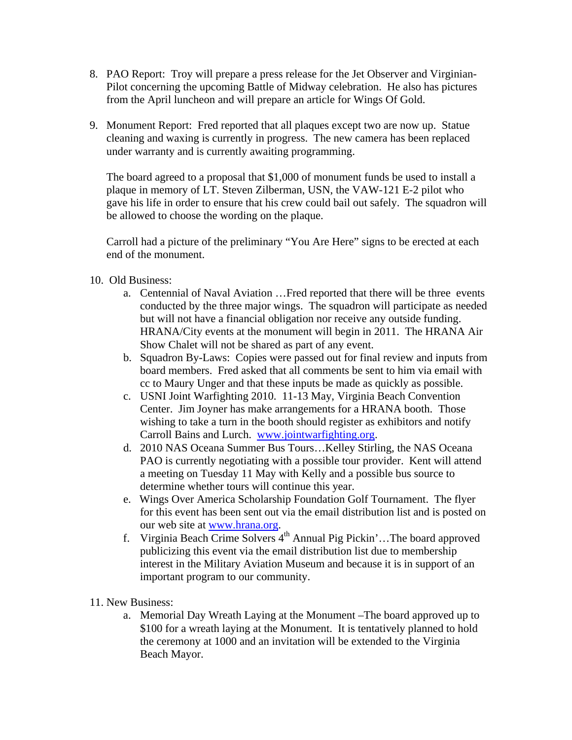- 8. PAO Report: Troy will prepare a press release for the Jet Observer and Virginian-Pilot concerning the upcoming Battle of Midway celebration. He also has pictures from the April luncheon and will prepare an article for Wings Of Gold.
- 9. Monument Report: Fred reported that all plaques except two are now up. Statue cleaning and waxing is currently in progress. The new camera has been replaced under warranty and is currently awaiting programming.

The board agreed to a proposal that \$1,000 of monument funds be used to install a plaque in memory of LT. Steven Zilberman, USN, the VAW-121 E-2 pilot who gave his life in order to ensure that his crew could bail out safely. The squadron will be allowed to choose the wording on the plaque.

Carroll had a picture of the preliminary "You Are Here" signs to be erected at each end of the monument.

- 10. Old Business:
	- a. Centennial of Naval Aviation …Fred reported that there will be three events conducted by the three major wings. The squadron will participate as needed but will not have a financial obligation nor receive any outside funding. HRANA/City events at the monument will begin in 2011. The HRANA Air Show Chalet will not be shared as part of any event.
	- b. Squadron By-Laws: Copies were passed out for final review and inputs from board members. Fred asked that all comments be sent to him via email with cc to Maury Unger and that these inputs be made as quickly as possible.
	- c. USNI Joint Warfighting 2010. 11-13 May, Virginia Beach Convention Center. Jim Joyner has make arrangements for a HRANA booth. Those wishing to take a turn in the booth should register as exhibitors and notify Carroll Bains and Lurch. [www.jointwarfighting.org](http://www.jointwarfighting.org/).
	- d. 2010 NAS Oceana Summer Bus Tours…Kelley Stirling, the NAS Oceana PAO is currently negotiating with a possible tour provider. Kent will attend a meeting on Tuesday 11 May with Kelly and a possible bus source to determine whether tours will continue this year.
	- e. Wings Over America Scholarship Foundation Golf Tournament. The flyer for this event has been sent out via the email distribution list and is posted on our web site at [www.hrana.org.](http://www.hrana.org/)
	- f. Virginia Beach Crime Solvers  $4<sup>th</sup>$  Annual Pig Pickin'...The board approved publicizing this event via the email distribution list due to membership interest in the Military Aviation Museum and because it is in support of an important program to our community.
- 11. New Business:
	- a. Memorial Day Wreath Laying at the Monument –The board approved up to \$100 for a wreath laying at the Monument. It is tentatively planned to hold the ceremony at 1000 and an invitation will be extended to the Virginia Beach Mayor.